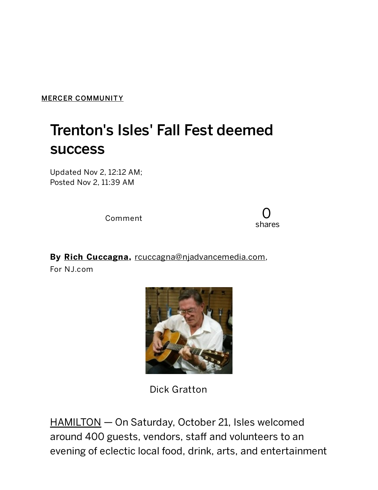MERCER [COMMUNITY](http://www.nj.com/mercer-community/index.ssf/)

## Trenton's Isles' Fall Fest deemed success

Updated Nov 2, 12:12 AM; Posted Nov 2, 11:39 AM

Comment

0 shares

By Rich [Cuccagna](http://connect.nj.com/staff/rcuccagna/posts.html), [rcuccagna@njadvancemedia.com](mailto:rcuccagna@njadvancemedia.com),

For NJ.com



Dick Gratton

[HAMILTON](http://www.nj.com/hamilton/) - On Saturday, October 21, Isles welcomed around 400 guests, vendors, staff and volunteers to an evening of eclectic local food, drink, arts, and entertainment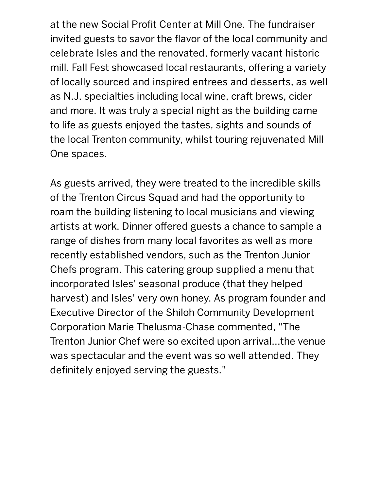at the new Social Profit Center at Mill One. The fundraiser invited guests to savor the flavor of the local community and celebrate Isles and the renovated, formerly vacant historic mill. Fall Fest showcased local restaurants, offering a variety of locally sourced and inspired entrees and desserts, as well as N.J. specialties including local wine, craft brews, cider and more. It was truly a special night as the building came to life as guests enjoyed the tastes, sights and sounds of the local Trenton community, whilst touring rejuvenated Mill One spaces.

As guests arrived, they were treated to the incredible skills of the Trenton Circus Squad and had the opportunity to roam the building listening to local musicians and viewing artists at work. Dinner offered guests a chance to sample a range of dishes from many local favorites as well as more recently established vendors, such as the Trenton Junior Chefs program. This catering group supplied a menu that incorporated Isles' seasonal produce (that they helped harvest) and Isles' very own honey. As program founder and Executive Director of the Shiloh Community Development Corporation Marie Thelusma-Chase commented, "The Trenton Junior Chef were so excited upon arrival...the venue was spectacular and the event was so well attended. They definitely enjoyed serving the guests."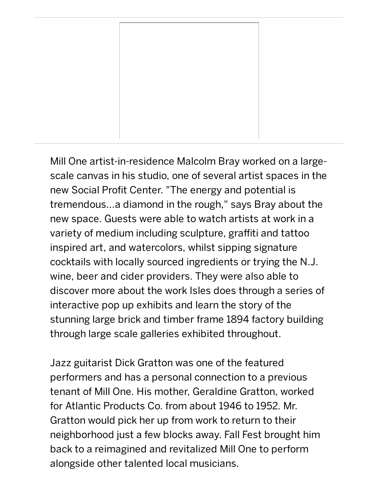Mill One artist-in-residence Malcolm Bray worked on a largescale canvas in his studio, one of several artist spaces in the new Social Profit Center. "The energy and potential is tremendous...a diamond in the rough," says Bray about the new space. Guests were able to watch artists at work in a variety of medium including sculpture, graffiti and tattoo inspired art, and watercolors, whilst sipping signature cocktails with locally sourced ingredients or trying the N.J. wine, beer and cider providers. They were also able to discover more about the work Isles does through a series of interactive pop up exhibits and learn the story of the stunning large brick and timber frame 1894 factory building through large scale galleries exhibited throughout.

Jazz guitarist Dick Gratton was one of the featured performers and has a personal connection to a previous tenant of Mill One. His mother, Geraldine Gratton, worked for Atlantic Products Co. from about 1946 to 1952. Mr. Gratton would pick her up from work to return to their neighborhood just a few blocks away. Fall Fest brought him back to a reimagined and revitalized Mill One to perform alongside other talented local musicians.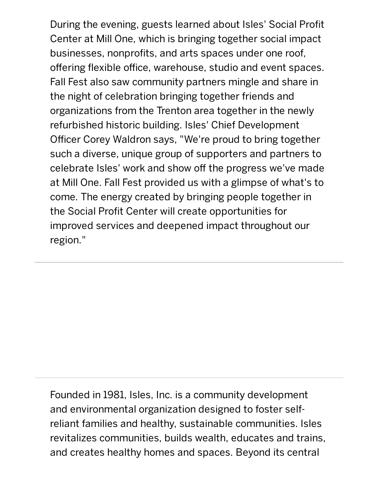During the evening, guests learned about Isles' Social Profit Center at Mill One, which is bringing together social impact businesses, nonprofits, and arts spaces under one roof, offering flexible office, warehouse, studio and event spaces. Fall Fest also saw community partners mingle and share in the night of celebration bringing together friends and organizations from the Trenton area together in the newly refurbished historic building. Isles' Chief Development Officer Corey Waldron says, "We're proud to bring together such a diverse, unique group of supporters and partners to celebrate Isles' work and show off the progress we've made at Mill One. Fall Fest provided us with a glimpse of what's to come. The energy created by bringing people together in the Social Profit Center will create opportunities for improved services and deepened impact throughout our region."

Founded in 1981, Isles, Inc. is a community development and environmental organization designed to foster selfreliant families and healthy, sustainable communities. Isles revitalizes communities, builds wealth, educates and trains, and creates healthy homes and spaces. Beyond its central